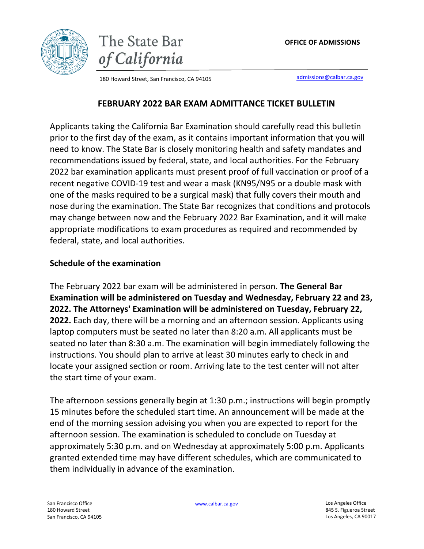



180 Howard Street, San Francisco, CA 94105 [admissions@calbar.ca.gov](mailto:admissions@calbar.ca.gov)

### **FEBRUARY 2022 BAR EXAM ADMITTANCE TICKET BULLETIN**

Applicants taking the California Bar Examination should carefully read this bulletin prior to the first day of the exam, as it contains important information that you will need to know. The State Bar is closely monitoring health and safety mandates and recommendations issued by federal, state, and local authorities. For the February 2022 bar examination applicants must present proof of full vaccination or proof of a recent negative COVID-19 test and wear a mask (KN95/N95 or a double mask with one of the masks required to be a surgical mask) that fully covers their mouth and nose during the examination. The State Bar recognizes that conditions and protocols may change between now and the February 2022 Bar Examination, and it will make appropriate modifications to exam procedures as required and recommended by federal, state, and local authorities.

### **Schedule of the examination**

The February 2022 bar exam will be administered in person. **The General Bar Examination will be administered on Tuesday and Wednesday, February 22 and 23, 2022. The Attorneys' Examination will be administered on Tuesday, February 22, 2022.** Each day, there will be a morning and an afternoon session. Applicants using laptop computers must be seated no later than 8:20 a.m. All applicants must be seated no later than 8:30 a.m. The examination will begin immediately following the instructions. You should plan to arrive at least 30 minutes early to check in and locate your assigned section or room. Arriving late to the test center will not alter the start time of your exam.

The afternoon sessions generally begin at 1:30 p.m.; instructions will begin promptly 15 minutes before the scheduled start time. An announcement will be made at the end of the morning session advising you when you are expected to report for the afternoon session. The examination is scheduled to conclude on Tuesday at approximately 5:30 p.m. and on Wednesday at approximately 5:00 p.m. Applicants granted extended time may have different schedules, which are communicated to them individually in advance of the examination.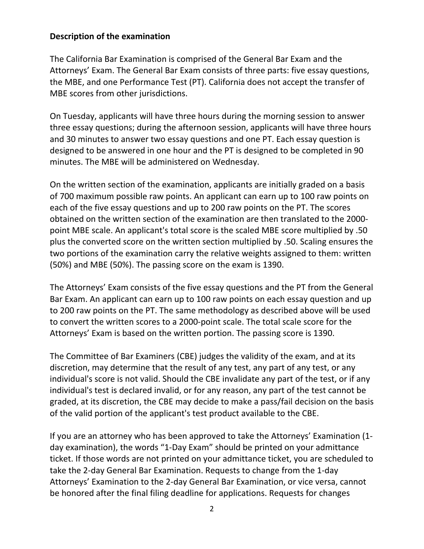### **Description of the examination**

The California Bar Examination is comprised of the General Bar Exam and the Attorneys' Exam. The General Bar Exam consists of three parts: five essay questions, the MBE, and one Performance Test (PT). California does not accept the transfer of MBE scores from other jurisdictions.

On Tuesday, applicants will have three hours during the morning session to answer three essay questions; during the afternoon session, applicants will have three hours and 30 minutes to answer two essay questions and one PT. Each essay question is designed to be answered in one hour and the PT is designed to be completed in 90 minutes. The MBE will be administered on Wednesday.

On the written section of the examination, applicants are initially graded on a basis of 700 maximum possible raw points. An applicant can earn up to 100 raw points on each of the five essay questions and up to 200 raw points on the PT. The scores obtained on the written section of the examination are then translated to the 2000 point MBE scale. An applicant's total score is the scaled MBE score multiplied by .50 plus the converted score on the written section multiplied by .50. Scaling ensures the two portions of the examination carry the relative weights assigned to them: written (50%) and MBE (50%). The passing score on the exam is 1390.

The Attorneys' Exam consists of the five essay questions and the PT from the General Bar Exam. An applicant can earn up to 100 raw points on each essay question and up to 200 raw points on the PT. The same methodology as described above will be used to convert the written scores to a 2000-point scale. The total scale score for the Attorneys' Exam is based on the written portion. The passing score is 1390.

The Committee of Bar Examiners (CBE) judges the validity of the exam, and at its discretion, may determine that the result of any test, any part of any test, or any individual's score is not valid. Should the CBE invalidate any part of the test, or if any individual's test is declared invalid, or for any reason, any part of the test cannot be graded, at its discretion, the CBE may decide to make a pass/fail decision on the basis of the valid portion of the applicant's test product available to the CBE.

If you are an attorney who has been approved to take the Attorneys' Examination (1 day examination), the words "1-Day Exam" should be printed on your admittance ticket. If those words are not printed on your admittance ticket, you are scheduled to take the 2-day General Bar Examination. Requests to change from the 1-day Attorneys' Examination to the 2-day General Bar Examination, or vice versa, cannot be honored after the final filing deadline for applications. Requests for changes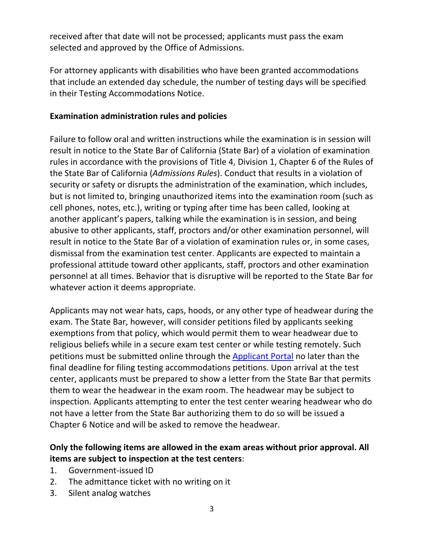received after that date will not be processed; applicants must pass the exam selected and approved by the Office of Admissions.

For attorney applicants with disabilities who have been granted accommodations that include an extended day schedule, the number of testing days will be specified in their Testing Accommodations Notice.

## **Examination administration rules and policies**

Failure to follow oral and written instructions while the examination is in session will result in notice to the State Bar of California (State Bar) of a violation of examination rules in accordance with the provisions of Title 4, Division 1, Chapter 6 of the Rules of the State Bar of California (*Admissions Rules*). Conduct that results in a violation of security or safety or disrupts the administration of the examination, which includes, but is not limited to, bringing unauthorized items into the examination room (such as cell phones, notes, etc.), writing or typing after time has been called, looking at another applicant's papers, talking while the examination is in session, and being abusive to other applicants, staff, proctors and/or other examination personnel, will result in notice to the State Bar of a violation of examination rules or, in some cases, dismissal from the examination test center. Applicants are expected to maintain a professional attitude toward other applicants, staff, proctors and other examination personnel at all times. Behavior that is disruptive will be reported to the State Bar for whatever action it deems appropriate.

Applicants may not wear hats, caps, hoods, or any other type of headwear during the exam. The State Bar, however, will consider petitions filed by applicants seeking exemptions from that policy, which would permit them to wear headwear due to religious beliefs while in a secure exam test center or while testing remotely. Such petitions must be submitted online through the **[Applicant](https://admissions.calbar.ca.gov/s/login/) Portal** no later than the final deadline for filing testing accommodations petitions. Upon arrival at the test center, applicants must be prepared to show a letter from the State Bar that permits them to wear the headwear in the exam room. The headwear may be subject to inspection. Applicants attempting to enter the test center wearing headwear who do not have a letter from the State Bar authorizing them to do so will be issued a Chapter 6 Notice and will be asked to remove the headwear.

# **Only the following items are allowed in the exam areas without prior approval. All items are subject to inspection at the test centers**:

- 1. Government-issued ID
- 2. The admittance ticket with no writing on it
- 3. Silent analog watches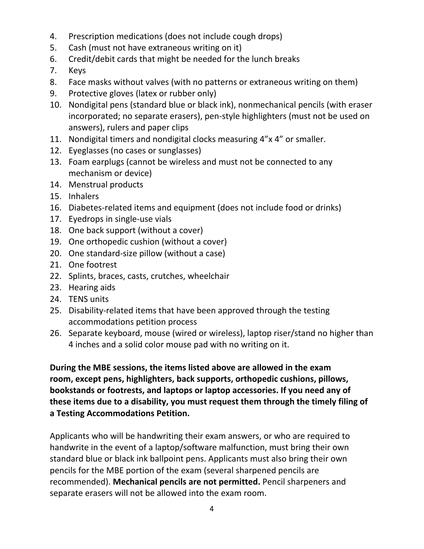- 4. Prescription medications (does not include cough drops)
- 5. Cash (must not have extraneous writing on it)
- 6. Credit/debit cards that might be needed for the lunch breaks
- 7. Keys
- 8. Face masks without valves (with no patterns or extraneous writing on them)
- 9. Protective gloves (latex or rubber only)
- 10. Nondigital pens (standard blue or black ink), nonmechanical pencils (with eraser incorporated; no separate erasers), pen-style highlighters (must not be used on answers), rulers and paper clips
- 11. Nondigital timers and nondigital clocks measuring 4"x 4" or smaller.
- 12. Eyeglasses (no cases or sunglasses)
- 13. Foam earplugs (cannot be wireless and must not be connected to any mechanism or device)
- 14. Menstrual products
- 15. Inhalers
- 16. Diabetes-related items and equipment (does not include food or drinks)
- 17. Eyedrops in single-use vials
- 18. One back support (without a cover)
- 19. One orthopedic cushion (without a cover)
- 20. One standard-size pillow (without a case)
- 21. One footrest
- 22. Splints, braces, casts, crutches, wheelchair
- 23. Hearing aids
- 24. TENS units
- 25. Disability-related items that have been approved through the testing accommodations petition process
- 26. Separate keyboard, mouse (wired or wireless), laptop riser/stand no higher than 4 inches and a solid color mouse pad with no writing on it.

**During the MBE sessions, the items listed above are allowed in the exam room, except pens, highlighters, back supports, orthopedic cushions, pillows, bookstands or footrests, and laptops or laptop accessories. If you need any of these items due to a disability, you must request them through the timely filing of a Testing Accommodations Petition.**

Applicants who will be handwriting their exam answers, or who are required to handwrite in the event of a laptop/software malfunction, must bring their own standard blue or black ink ballpoint pens. Applicants must also bring their own pencils for the MBE portion of the exam (several sharpened pencils are recommended). **Mechanical pencils are not permitted.** Pencil sharpeners and separate erasers will not be allowed into the exam room.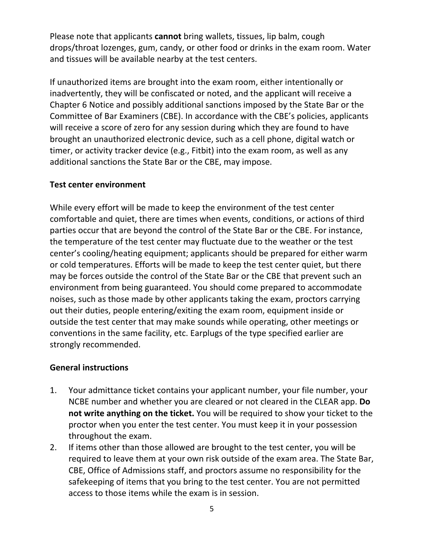Please note that applicants **cannot** bring wallets, tissues, lip balm, cough drops/throat lozenges, gum, candy, or other food or drinks in the exam room. Water and tissues will be available nearby at the test centers.

If unauthorized items are brought into the exam room, either intentionally or inadvertently, they will be confiscated or noted, and the applicant will receive a Chapter 6 Notice and possibly additional sanctions imposed by the State Bar or the Committee of Bar Examiners (CBE). In accordance with the CBE's policies, applicants will receive a score of zero for any session during which they are found to have brought an unauthorized electronic device, such as a cell phone, digital watch or timer, or activity tracker device (e.g., Fitbit) into the exam room, as well as any additional sanctions the State Bar or the CBE, may impose.

### **Test center environment**

While every effort will be made to keep the environment of the test center comfortable and quiet, there are times when events, conditions, or actions of third parties occur that are beyond the control of the State Bar or the CBE. For instance, the temperature of the test center may fluctuate due to the weather or the test center's cooling/heating equipment; applicants should be prepared for either warm or cold temperatures. Efforts will be made to keep the test center quiet, but there may be forces outside the control of the State Bar or the CBE that prevent such an environment from being guaranteed. You should come prepared to accommodate noises, such as those made by other applicants taking the exam, proctors carrying out their duties, people entering/exiting the exam room, equipment inside or outside the test center that may make sounds while operating, other meetings or conventions in the same facility, etc. Earplugs of the type specified earlier are strongly recommended.

### **General instructions**

- 1. Your admittance ticket contains your applicant number, your file number, your NCBE number and whether you are cleared or not cleared in the CLEAR app. **Do not write anything on the ticket.** You will be required to show your ticket to the proctor when you enter the test center. You must keep it in your possession throughout the exam.
- 2. If items other than those allowed are brought to the test center, you will be required to leave them at your own risk outside of the exam area. The State Bar, CBE, Office of Admissions staff, and proctors assume no responsibility for the safekeeping of items that you bring to the test center. You are not permitted access to those items while the exam is in session.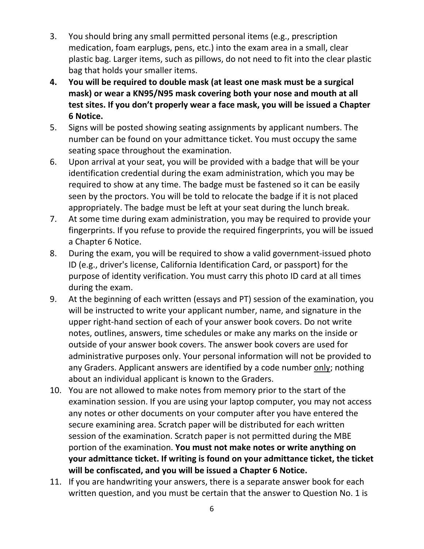- 3. You should bring any small permitted personal items (e.g., prescription medication, foam earplugs, pens, etc.) into the exam area in a small, clear plastic bag. Larger items, such as pillows, do not need to fit into the clear plastic bag that holds your smaller items.
- **4. You will be required to double mask (at least one mask must be a surgical mask) or wear a KN95/N95 mask covering both your nose and mouth at all test sites. If you don't properly wear a face mask, you will be issued a Chapter 6 Notice.**
- 5. Signs will be posted showing seating assignments by applicant numbers. The number can be found on your admittance ticket. You must occupy the same seating space throughout the examination.
- 6. Upon arrival at your seat, you will be provided with a badge that will be your identification credential during the exam administration, which you may be required to show at any time. The badge must be fastened so it can be easily seen by the proctors. You will be told to relocate the badge if it is not placed appropriately. The badge must be left at your seat during the lunch break.
- 7. At some time during exam administration, you may be required to provide your fingerprints. If you refuse to provide the required fingerprints, you will be issued a Chapter 6 Notice.
- 8. During the exam, you will be required to show a valid government-issued photo ID (e.g., driver's license, California Identification Card, or passport) for the purpose of identity verification. You must carry this photo ID card at all times during the exam.
- 9. At the beginning of each written (essays and PT) session of the examination, you will be instructed to write your applicant number, name, and signature in the upper right-hand section of each of your answer book covers. Do not write notes, outlines, answers, time schedules or make any marks on the inside or outside of your answer book covers. The answer book covers are used for administrative purposes only. Your personal information will not be provided to any Graders. Applicant answers are identified by a code number only; nothing about an individual applicant is known to the Graders.
- 10. You are not allowed to make notes from memory prior to the start of the examination session. If you are using your laptop computer, you may not access any notes or other documents on your computer after you have entered the secure examining area. Scratch paper will be distributed for each written session of the examination. Scratch paper is not permitted during the MBE portion of the examination. **You must not make notes or write anything on your admittance ticket. If writing is found on your admittance ticket, the ticket will be confiscated, and you will be issued a Chapter 6 Notice.**
- 11. If you are handwriting your answers, there is a separate answer book for each written question, and you must be certain that the answer to Question No. 1 is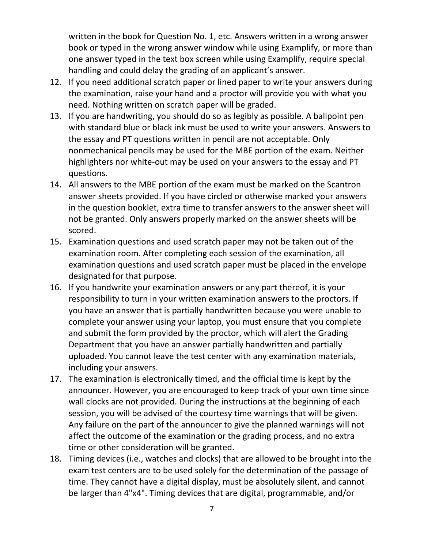written in the book for Question No. 1, etc. Answers written in a wrong answer book or typed in the wrong answer window while using Examplify, or more than one answer typed in the text box screen while using Examplify, require special handling and could delay the grading of an applicant's answer.

- 12. If you need additional scratch paper or lined paper to write your answers during the examination, raise your hand and a proctor will provide you with what you need. Nothing written on scratch paper will be graded.
- 13. If you are handwriting, you should do so as legibly as possible. A ballpoint pen with standard blue or black ink must be used to write your answers. Answers to the essay and PT questions written in pencil are not acceptable. Only nonmechanical pencils may be used for the MBE portion of the exam. Neither highlighters nor white-out may be used on your answers to the essay and PT questions.
- 14. All answers to the MBE portion of the exam must be marked on the Scantron answer sheets provided. If you have circled or otherwise marked your answers in the question booklet, extra time to transfer answers to the answer sheet will not be granted. Only answers properly marked on the answer sheets will be scored.
- 15. Examination questions and used scratch paper may not be taken out of the examination room. After completing each session of the examination, all examination questions and used scratch paper must be placed in the envelope designated for that purpose.
- 16. If you handwrite your examination answers or any part thereof, it is your responsibility to turn in your written examination answers to the proctors. If you have an answer that is partially handwritten because you were unable to complete your answer using your laptop, you must ensure that you complete and submit the form provided by the proctor, which will alert the Grading Department that you have an answer partially handwritten and partially uploaded. You cannot leave the test center with any examination materials, including your answers.
- 17. The examination is electronically timed, and the official time is kept by the announcer. However, you are encouraged to keep track of your own time since wall clocks are not provided. During the instructions at the beginning of each session, you will be advised of the courtesy time warnings that will be given. Any failure on the part of the announcer to give the planned warnings will not affect the outcome of the examination or the grading process, and no extra time or other consideration will be granted.
- 18. Timing devices (i.e., watches and clocks) that are allowed to be brought into the exam test centers are to be used solely for the determination of the passage of time. They cannot have a digital display, must be absolutely silent, and cannot be larger than 4"x4". Timing devices that are digital, programmable, and/or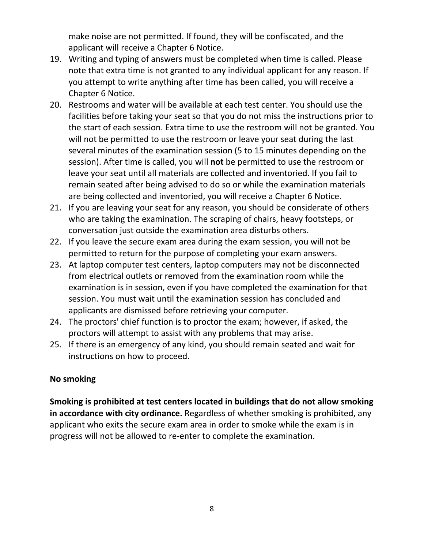make noise are not permitted. If found, they will be confiscated, and the applicant will receive a Chapter 6 Notice.

- 19. Writing and typing of answers must be completed when time is called. Please note that extra time is not granted to any individual applicant for any reason. If you attempt to write anything after time has been called, you will receive a Chapter 6 Notice.
- 20. Restrooms and water will be available at each test center. You should use the facilities before taking your seat so that you do not miss the instructions prior to the start of each session. Extra time to use the restroom will not be granted. You will not be permitted to use the restroom or leave your seat during the last several minutes of the examination session (5 to 15 minutes depending on the session). After time is called, you will **not** be permitted to use the restroom or leave your seat until all materials are collected and inventoried. If you fail to remain seated after being advised to do so or while the examination materials are being collected and inventoried, you will receive a Chapter 6 Notice.
- 21. If you are leaving your seat for any reason, you should be considerate of others who are taking the examination. The scraping of chairs, heavy footsteps, or conversation just outside the examination area disturbs others.
- 22. If you leave the secure exam area during the exam session, you will not be permitted to return for the purpose of completing your exam answers.
- 23. At laptop computer test centers, laptop computers may not be disconnected from electrical outlets or removed from the examination room while the examination is in session, even if you have completed the examination for that session. You must wait until the examination session has concluded and applicants are dismissed before retrieving your computer.
- 24. The proctors' chief function is to proctor the exam; however, if asked, the proctors will attempt to assist with any problems that may arise.
- 25. If there is an emergency of any kind, you should remain seated and wait for instructions on how to proceed.

## **No smoking**

**Smoking is prohibited at test centers located in buildings that do not allow smoking in accordance with city ordinance.** Regardless of whether smoking is prohibited, any applicant who exits the secure exam area in order to smoke while the exam is in progress will not be allowed to re-enter to complete the examination.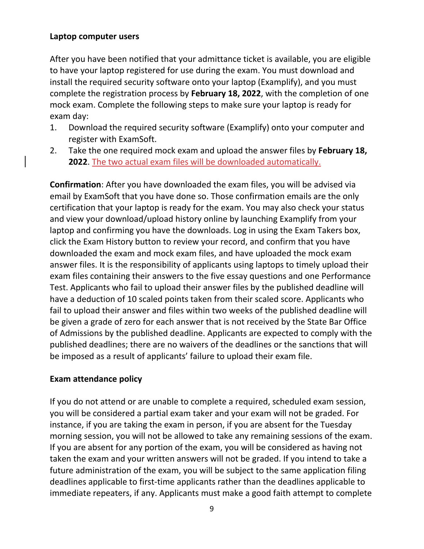### **Laptop computer users**

After you have been notified that your admittance ticket is available, you are eligible to have your laptop registered for use during the exam. You must download and install the required security software onto your laptop (Examplify), and you must complete the registration process by **February 18, 2022**, with the completion of one mock exam. Complete the following steps to make sure your laptop is ready for exam day:

- 1. Download the required security software (Examplify) onto your computer and register with ExamSoft.
- 2. Take the one required mock exam and upload the answer files by **February 18, 2022**. The two actual exam files will be downloaded automatically.

**Confirmation**: After you have downloaded the exam files, you will be advised via email by ExamSoft that you have done so. Those confirmation emails are the only certification that your laptop is ready for the exam. You may also check your status and view your download/upload history online by launching Examplify from your laptop and confirming you have the downloads. Log in using the Exam Takers box, click the Exam History button to review your record, and confirm that you have downloaded the exam and mock exam files, and have uploaded the mock exam answer files. It is the responsibility of applicants using laptops to timely upload their exam files containing their answers to the five essay questions and one Performance Test. Applicants who fail to upload their answer files by the published deadline will have a deduction of 10 scaled points taken from their scaled score. Applicants who fail to upload their answer and files within two weeks of the published deadline will be given a grade of zero for each answer that is not received by the State Bar Office of Admissions by the published deadline. Applicants are expected to comply with the published deadlines; there are no waivers of the deadlines or the sanctions that will be imposed as a result of applicants' failure to upload their exam file.

## **Exam attendance policy**

If you do not attend or are unable to complete a required, scheduled exam session, you will be considered a partial exam taker and your exam will not be graded. For instance, if you are taking the exam in person, if you are absent for the Tuesday morning session, you will not be allowed to take any remaining sessions of the exam. If you are absent for any portion of the exam, you will be considered as having not taken the exam and your written answers will not be graded. If you intend to take a future administration of the exam, you will be subject to the same application filing deadlines applicable to first-time applicants rather than the deadlines applicable to immediate repeaters, if any. Applicants must make a good faith attempt to complete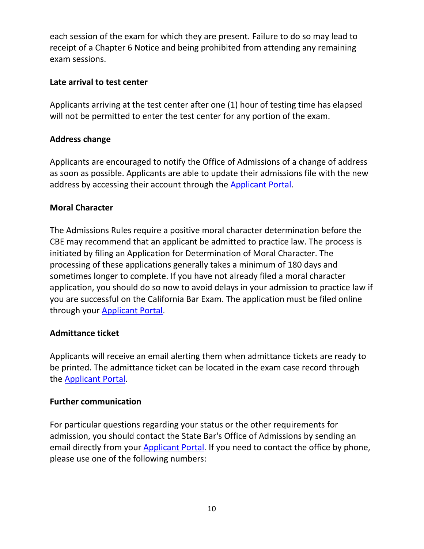each session of the exam for which they are present. Failure to do so may lead to receipt of a Chapter 6 Notice and being prohibited from attending any remaining exam sessions.

## **Late arrival to test center**

Applicants arriving at the test center after one (1) hour of testing time has elapsed will not be permitted to enter the test center for any portion of the exam.

## **Address change**

Applicants are encouraged to notify the Office of Admissions of a change of address as soon as possible. Applicants are able to update their admissions file with the new address by accessing their account through the [Applicant](https://admissions.calbar.ca.gov/s/login/) Portal.

## **Moral Character**

The Admissions Rules require a positive moral character determination before the CBE may recommend that an applicant be admitted to practice law. The process is initiated by filing an Application for Determination of Moral Character. The processing of these applications generally takes a minimum of 180 days and sometimes longer to complete. If you have not already filed a moral character application, you should do so now to avoid delays in your admission to practice law if you are successful on the California Bar Exam. The application must be filed online through your [Applicant](https://admissions.calbar.ca.gov/s/login/) Portal.

### **Admittance ticket**

Applicants will receive an email alerting them when admittance tickets are ready to be printed. The admittance ticket can be located in the exam case record through the [Applicant](https://admissions.calbar.ca.gov/s/login/) Portal.

### **Further communication**

For particular questions regarding your status or the other requirements for admission, you should contact the State Bar's Office of Admissions by sending an email directly from your [Applicant](https://admissions.calbar.ca.gov/s/login/) Portal. If you need to contact the office by phone, please use one of the following numbers: